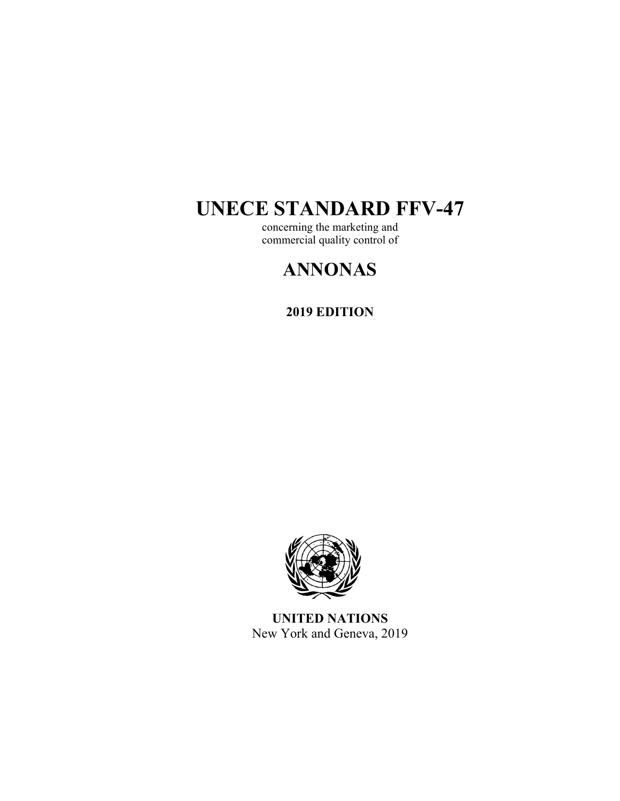# **UNECE STANDARD FFV-47**

concerning the marketing and commercial quality control of

# **ANNONAS**

**2019 EDITION** 



**UNITED NATIONS**  New York and Geneva, 2019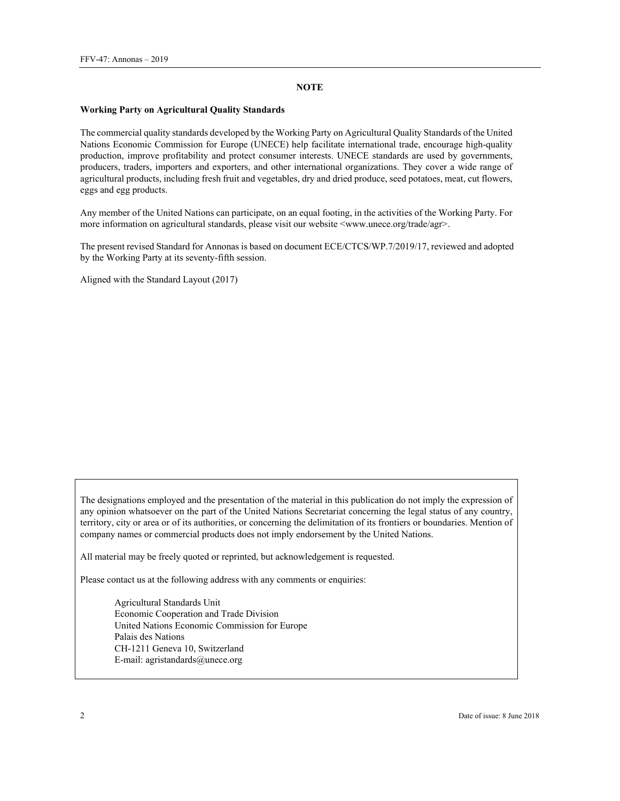#### **NOTE**

#### **Working Party on Agricultural Quality Standards**

The commercial quality standards developed by the Working Party on Agricultural Quality Standards of the United Nations Economic Commission for Europe (UNECE) help facilitate international trade, encourage high-quality production, improve profitability and protect consumer interests. UNECE standards are used by governments, producers, traders, importers and exporters, and other international organizations. They cover a wide range of agricultural products, including fresh fruit and vegetables, dry and dried produce, seed potatoes, meat, cut flowers, eggs and egg products.

Any member of the United Nations can participate, on an equal footing, in the activities of the Working Party. For more information on agricultural standards, please visit our website  $\langle$ www.unece.org/trade/agr>.

The present revised Standard for Annonas is based on document ECE/CTCS/WP.7/2019/17, reviewed and adopted by the Working Party at its seventy-fifth session.

Aligned with the Standard Layout (2017)

The designations employed and the presentation of the material in this publication do not imply the expression of any opinion whatsoever on the part of the United Nations Secretariat concerning the legal status of any country, territory, city or area or of its authorities, or concerning the delimitation of its frontiers or boundaries. Mention of company names or commercial products does not imply endorsement by the United Nations.

All material may be freely quoted or reprinted, but acknowledgement is requested.

Please contact us at the following address with any comments or enquiries:

Agricultural Standards Unit Economic Cooperation and Trade Division United Nations Economic Commission for Europe Palais des Nations CH-1211 Geneva 10, Switzerland E-mail: agristandards@unece.org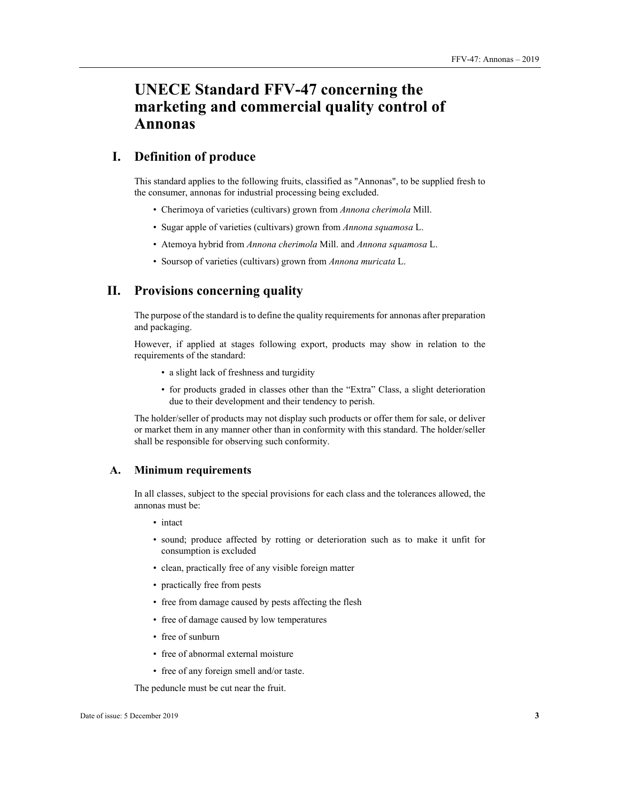# **UNECE Standard FFV-47 concerning the marketing and commercial quality control of Annonas**

# **I. Definition of produce**

This standard applies to the following fruits, classified as "Annonas", to be supplied fresh to the consumer, annonas for industrial processing being excluded.

- Cherimoya of varieties (cultivars) grown from *Annona cherimola* Mill.
- Sugar apple of varieties (cultivars) grown from *Annona squamosa* L.
- Atemoya hybrid from *Annona cherimola* Mill. and *Annona squamosa* L.
- Soursop of varieties (cultivars) grown from *Annona muricata* L.

# **II. Provisions concerning quality**

The purpose of the standard is to define the quality requirements for annonas after preparation and packaging.

However, if applied at stages following export, products may show in relation to the requirements of the standard:

- a slight lack of freshness and turgidity
- for products graded in classes other than the "Extra" Class, a slight deterioration due to their development and their tendency to perish.

The holder/seller of products may not display such products or offer them for sale, or deliver or market them in any manner other than in conformity with this standard. The holder/seller shall be responsible for observing such conformity.

#### **A. Minimum requirements**

In all classes, subject to the special provisions for each class and the tolerances allowed, the annonas must be:

- intact
- sound; produce affected by rotting or deterioration such as to make it unfit for consumption is excluded
- clean, practically free of any visible foreign matter
- practically free from pests
- free from damage caused by pests affecting the flesh
- free of damage caused by low temperatures
- free of sunburn
- free of abnormal external moisture
- free of any foreign smell and/or taste.

The peduncle must be cut near the fruit.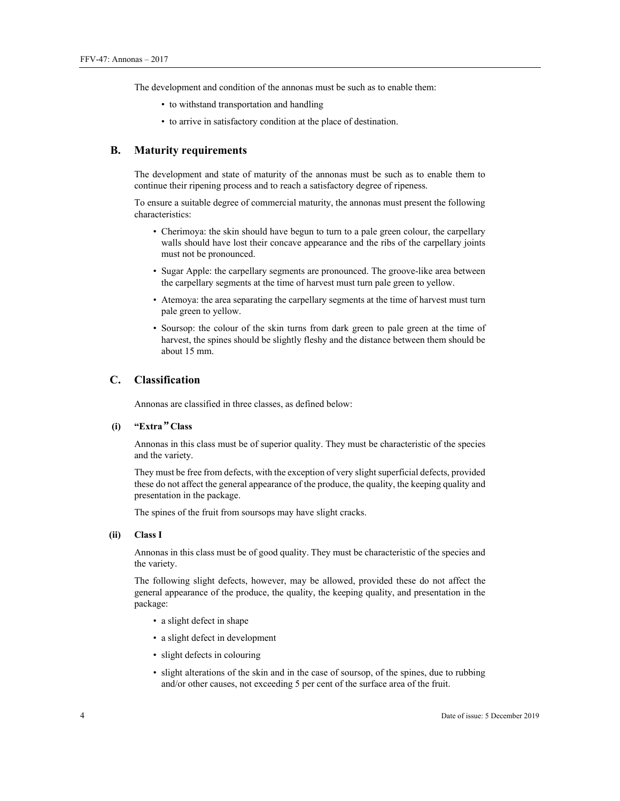The development and condition of the annonas must be such as to enable them:

- to withstand transportation and handling
- to arrive in satisfactory condition at the place of destination.

#### **B. Maturity requirements**

The development and state of maturity of the annonas must be such as to enable them to continue their ripening process and to reach a satisfactory degree of ripeness.

To ensure a suitable degree of commercial maturity, the annonas must present the following characteristics:

- Cherimoya: the skin should have begun to turn to a pale green colour, the carpellary walls should have lost their concave appearance and the ribs of the carpellary joints must not be pronounced.
- Sugar Apple: the carpellary segments are pronounced. The groove-like area between the carpellary segments at the time of harvest must turn pale green to yellow.
- Atemoya: the area separating the carpellary segments at the time of harvest must turn pale green to yellow.
- Soursop: the colour of the skin turns from dark green to pale green at the time of harvest, the spines should be slightly fleshy and the distance between them should be about 15 mm.

### **C. Classification**

Annonas are classified in three classes, as defined below:

#### **(i) "Extra***"* **Class**

Annonas in this class must be of superior quality. They must be characteristic of the species and the variety.

They must be free from defects, with the exception of very slight superficial defects, provided these do not affect the general appearance of the produce, the quality, the keeping quality and presentation in the package.

The spines of the fruit from soursops may have slight cracks.

#### **(ii) Class I**

Annonas in this class must be of good quality. They must be characteristic of the species and the variety.

The following slight defects, however, may be allowed, provided these do not affect the general appearance of the produce, the quality, the keeping quality, and presentation in the package:

- a slight defect in shape
- a slight defect in development
- slight defects in colouring
- slight alterations of the skin and in the case of soursop, of the spines, due to rubbing and/or other causes, not exceeding 5 per cent of the surface area of the fruit.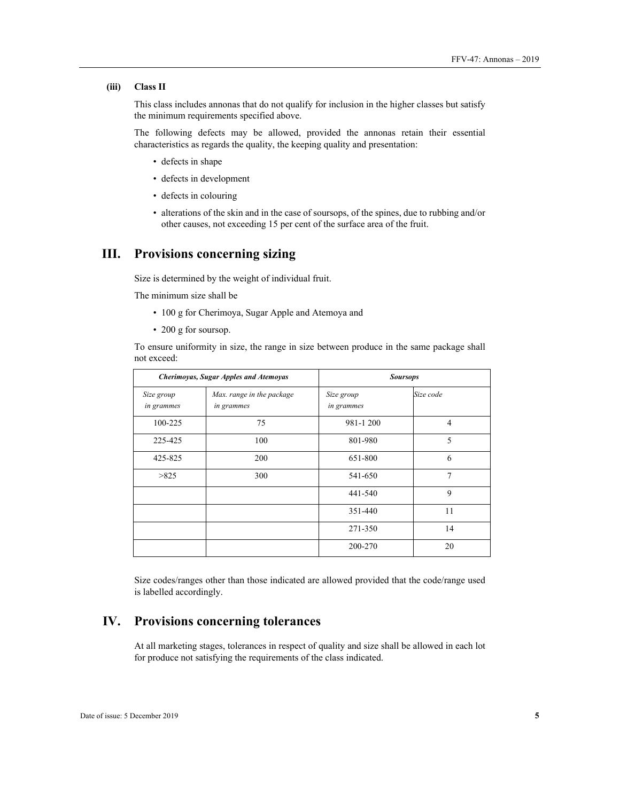#### **(iii) Class II**

This class includes annonas that do not qualify for inclusion in the higher classes but satisfy the minimum requirements specified above.

The following defects may be allowed, provided the annonas retain their essential characteristics as regards the quality, the keeping quality and presentation:

- defects in shape
- defects in development
- defects in colouring
- alterations of the skin and in the case of soursops, of the spines, due to rubbing and/or other causes, not exceeding 15 per cent of the surface area of the fruit.

# **III. Provisions concerning sizing**

Size is determined by the weight of individual fruit.

The minimum size shall be

- 100 g for Cherimoya, Sugar Apple and Atemoya and
- 200 g for soursop.

To ensure uniformity in size, the range in size between produce in the same package shall not exceed:

| Cherimoyas, Sugar Apples and Atemoyas |                                         | <b>Soursops</b>          |                |
|---------------------------------------|-----------------------------------------|--------------------------|----------------|
| Size group<br>in grammes              | Max. range in the package<br>in grammes | Size group<br>in grammes | Size code      |
| 100-225                               | 75                                      | 981-1200                 | $\overline{4}$ |
| 225-425                               | 100                                     | 801-980                  | 5              |
| 425-825                               | 200                                     | 651-800                  | 6              |
| >825                                  | 300                                     | 541-650                  | 7              |
|                                       |                                         | 441-540                  | 9              |
|                                       |                                         | 351-440                  | 11             |
|                                       |                                         | 271-350                  | 14             |
|                                       |                                         | 200-270                  | 20             |

Size codes/ranges other than those indicated are allowed provided that the code/range used is labelled accordingly.

# **IV. Provisions concerning tolerances**

At all marketing stages, tolerances in respect of quality and size shall be allowed in each lot for produce not satisfying the requirements of the class indicated.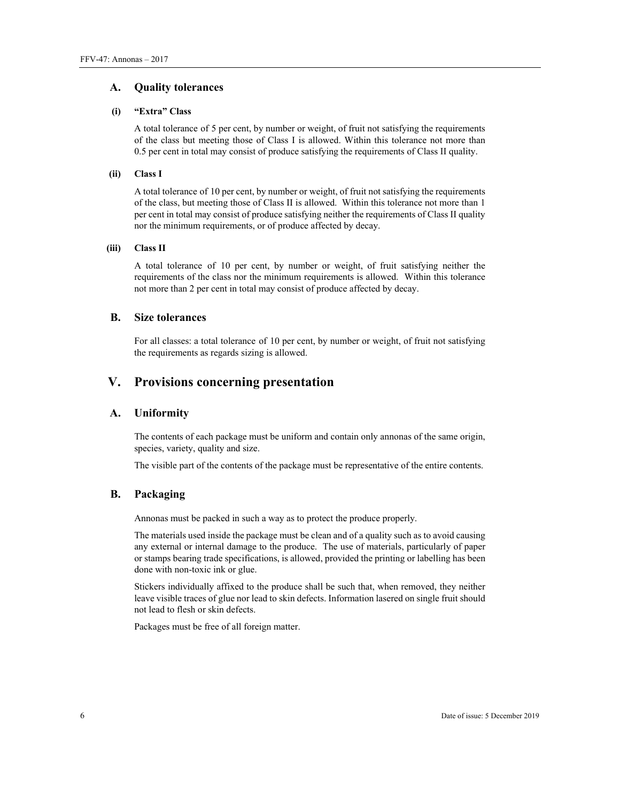#### **A. Quality tolerances**

#### **(i) "Extra" Class**

A total tolerance of 5 per cent, by number or weight, of fruit not satisfying the requirements of the class but meeting those of Class I is allowed. Within this tolerance not more than 0.5 per cent in total may consist of produce satisfying the requirements of Class II quality.

#### **(ii) Class I**

A total tolerance of 10 per cent, by number or weight, of fruit not satisfying the requirements of the class, but meeting those of Class II is allowed. Within this tolerance not more than 1 per cent in total may consist of produce satisfying neither the requirements of Class II quality nor the minimum requirements, or of produce affected by decay.

#### **(iii) Class II**

A total tolerance of 10 per cent, by number or weight, of fruit satisfying neither the requirements of the class nor the minimum requirements is allowed. Within this tolerance not more than 2 per cent in total may consist of produce affected by decay.

#### **B. Size tolerances**

For all classes: a total tolerance of 10 per cent, by number or weight, of fruit not satisfying the requirements as regards sizing is allowed.

### **V. Provisions concerning presentation**

#### **A. Uniformity**

The contents of each package must be uniform and contain only annonas of the same origin, species, variety, quality and size.

The visible part of the contents of the package must be representative of the entire contents.

#### **B. Packaging**

Annonas must be packed in such a way as to protect the produce properly.

The materials used inside the package must be clean and of a quality such as to avoid causing any external or internal damage to the produce. The use of materials, particularly of paper or stamps bearing trade specifications, is allowed, provided the printing or labelling has been done with non-toxic ink or glue.

Stickers individually affixed to the produce shall be such that, when removed, they neither leave visible traces of glue nor lead to skin defects. Information lasered on single fruit should not lead to flesh or skin defects.

Packages must be free of all foreign matter.